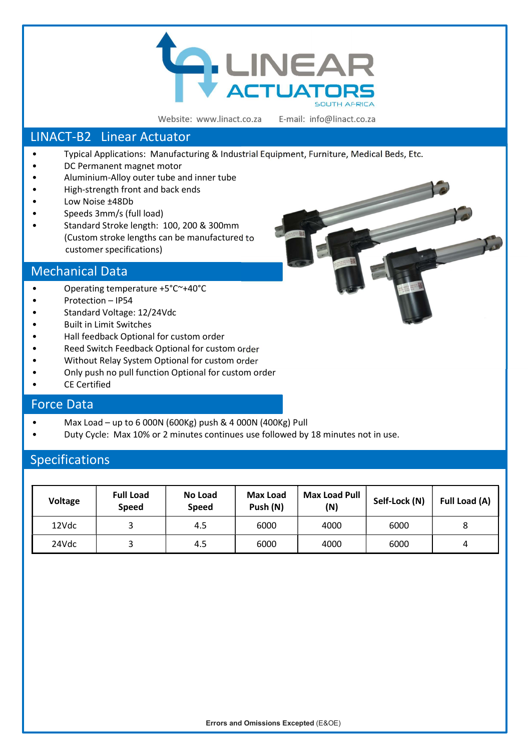

Website: www.linact.co.za

E-mail: info@linact.co.za

# LINACT-B2 Linear Actuator

- Typical Applications: Manufacturing & Industrial Equipment, Furniture, Medical Beds, Etc.
- DC Permanent magnet motor
- Aluminium-Alloy outer tube and inner tube
- High-strength front and back ends
- Low Noise ±48Db
- Speeds 3mm/s (full load)
- Standard Stroke length: 100, 200 & 300mm (Custom stroke lengths can be manufactured to customer specifications)

### Mechanical Data

- Operating temperature +5°C~+40°C
- Protection IP54
- Standard Voltage: 12/24Vdc
- Built in Limit Switches
- Hall feedback Optional for custom order
- Reed Switch Feedback Optional for custom order
- Without Relay System Optional for custom order
- Only push no pull function Optional for custom order
- **CE Certified**

### Force Data

- Max Load up to 6 000N (600Kg) push & 4 000N (400Kg) Pull
- Duty Cycle: Max 10% or 2 minutes continues use followed by 18 minutes not in use.

## Specifications

| Voltage | <b>Full Load</b><br><b>Speed</b> | No Load<br><b>Speed</b> | <b>Max Load</b><br>Push (N) | <b>Max Load Pull</b><br>(N) | Self-Lock (N) | Full Load (A) |
|---------|----------------------------------|-------------------------|-----------------------------|-----------------------------|---------------|---------------|
| 12Vdc   |                                  | 4.5                     | 6000                        | 4000                        | 6000          |               |
| 24Vdc   |                                  | 4.5                     | 6000                        | 4000                        | 6000          | 4             |